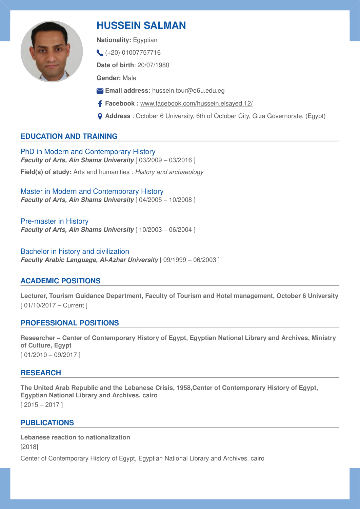

# **HUSSEIN SALMAN**

**Nationality:** Egyptian

 $(+20)$  01007757716

**Date of birth**: 20/07/1980

**Gender:** Male

- **Email address:** [hussein.tour@o6u.edu.eg](mailto:hussein.tour@o6u.edu.eg)
- **Facebook :** [www.facebook.com/hussein.elsayed.12/](http://www.facebook.com/hussein.elsayed.12/)
- **Address** : October 6 University, 6th of October City, Giza Governorate, (Egypt)

# **EDUCATION AND TRAINING**

PhD in Modern and Contemporary History *Faculty of Arts, Ain Shams University* [ 03/2009 – 03/2016 ] **Field(s) of study:** Arts and humanities : *History and archaeology* 

Master in Modern and Contemporary History *Faculty of Arts, Ain Shams University* [ 04/2005 – 10/2008 ]

Pre-master in History *Faculty of Arts, Ain Shams University* [ 10/2003 – 06/2004 ]

Bachelor in history and civilization *Faculty Arabic Language, Al-Azhar University* [ 09/1999 – 06/2003 ]

## **ACADEMIC POSITIONS**

**Lecturer, Tourism Guidance Department, Faculty of Tourism and Hotel management, October 6 University** [ 01/10/2017 – Current ]

## **PROFESSIONAL POSITIONS**

**Researcher – Center of Contemporary History of Egypt, Egyptian National Library and Archives, Ministry of Culture, Egypt**  [ 01/2010 – 09/2017 ]

## **RESEARCH**

**The United Arab Republic and the Lebanese Crisis, 1958,Center of Contemporary History of Egypt, Egyptian National Library and Archives. cairo**   $[2015 - 2017]$ 

## **PUBLICATIONS**

**Lebanese reaction to nationalization**  [2018] Center of Contemporary History of Egypt, Egyptian National Library and Archives. cairo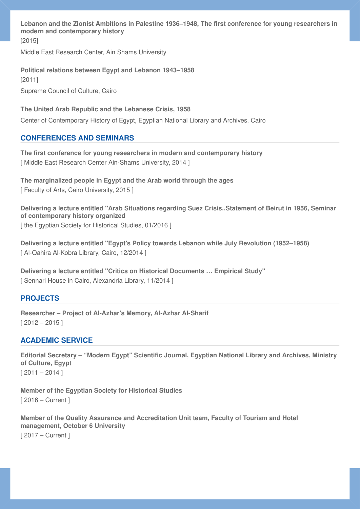**Lebanon and the Zionist Ambitions in Palestine 1936–1948, The first conference for young researchers in modern and contemporary history**  [2015]

Middle East Research Center, Ain Shams University

**Political relations between Egypt and Lebanon 1943–1958**  [2011] Supreme Council of Culture, Cairo

**The United Arab Republic and the Lebanese Crisis, 1958**  Center of Contemporary History of Egypt, Egyptian National Library and Archives. Cairo

#### **CONFERENCES AND SEMINARS**

**The first conference for young researchers in modern and contemporary history**  [ Middle East Research Center Ain-Shams University, 2014 ]

**The marginalized people in Egypt and the Arab world through the ages**  [ Faculty of Arts, Cairo University, 2015 ]

**Delivering a lecture entitled "Arab Situations regarding Suez Crisis..Statement of Beirut in 1956, Seminar of contemporary history organized**  [ the Egyptian Society for Historical Studies, 01/2016 ]

**Delivering a lecture entitled "Egypt's Policy towards Lebanon while July Revolution (1952–1958)**  [ Al-Qahira Al-Kobra Library, Cairo, 12/2014 ]

**Delivering a lecture entitled "Critics on Historical Documents … Empirical Study"**  [ Sennari House in Cairo, Alexandria Library, 11/2014 ]

#### **PROJECTS**

**Researcher – Project of Al-Azhar's Memory, Al-Azhar Al-Sharif**   $[2012 - 2015]$ 

#### **ACADEMIC SERVICE**

**Editorial Secretary – "Modern Egypt" Scientific Journal, Egyptian National Library and Archives, Ministry of Culture, Egypt**   $[2011 - 2014]$ 

**Member of the Egyptian Society for Historical Studies**  [ 2016 – Current ]

**Member of the Quality Assurance and Accreditation Unit team, Faculty of Tourism and Hotel management, October 6 University**  [ 2017 – Current ]